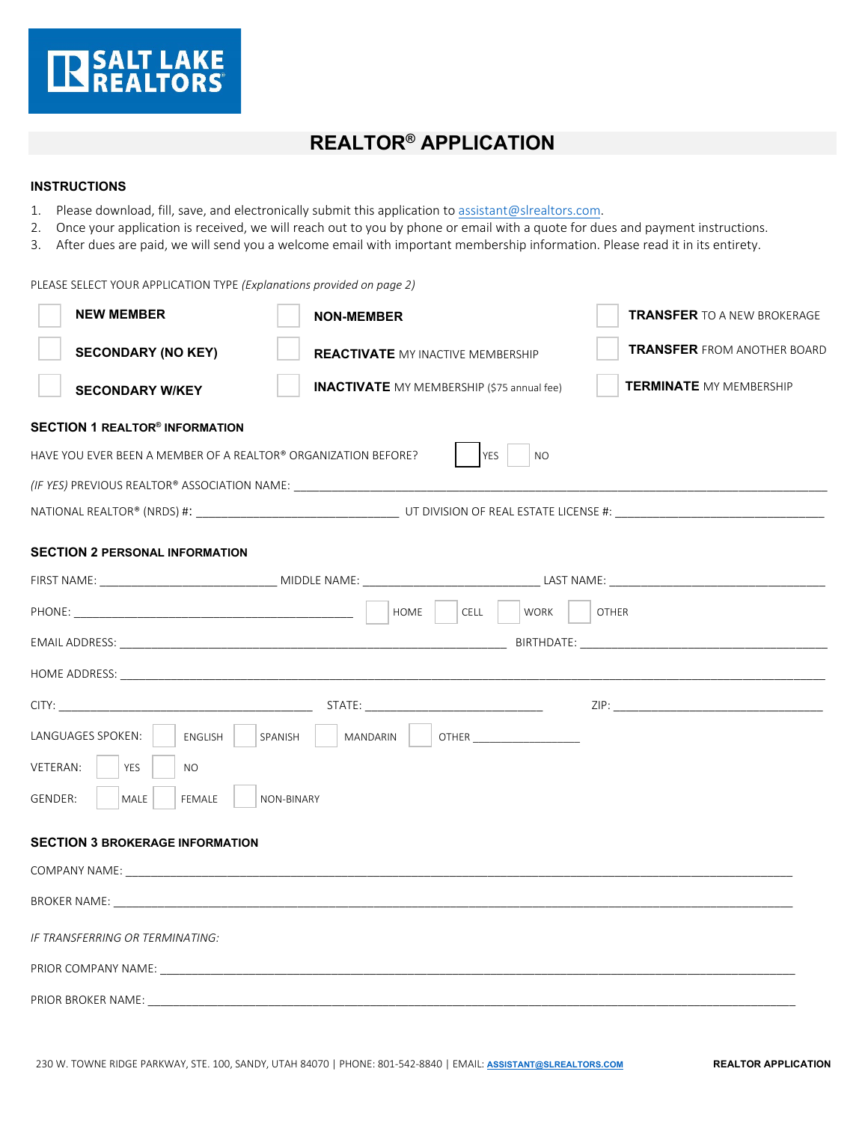

## **REALTOR® APPLICATION**

## **INSTRUCTIONS**

- 1. Please download, fill, save, and electronically submit this application to [assistant@slrealtors.com.](mailto:assistant@slrealtors.com)
- 2. Once your application is received, we will reach out to you by phone or email with a quote for dues and payment instructions.
- 3. After dues are paid, we will send you a welcome email with important membership information. Please read it in its entirety.

PLEASE SELECT YOUR APPLICATION TYPE *(Explanations provided on page 2)*

| <b>NEW MEMBER</b>                                                                                                                                                                                                              | <b>NON-MEMBER</b>                                 |                         | <b>TRANSFER</b> TO A NEW BROKERAGE |
|--------------------------------------------------------------------------------------------------------------------------------------------------------------------------------------------------------------------------------|---------------------------------------------------|-------------------------|------------------------------------|
| <b>SECONDARY (NO KEY)</b>                                                                                                                                                                                                      | <b>REACTIVATE</b> MY INACTIVE MEMBERSHIP          |                         | <b>TRANSFER FROM ANOTHER BOARD</b> |
| <b>SECONDARY W/KEY</b>                                                                                                                                                                                                         | <b>INACTIVATE</b> MY MEMBERSHIP (\$75 annual fee) |                         | <b>TERMINATE MY MEMBERSHIP</b>     |
| <b>SECTION 1 REALTOR<sup>®</sup> INFORMATION</b>                                                                                                                                                                               |                                                   |                         |                                    |
| HAVE YOU EVER BEEN A MEMBER OF A REALTOR® ORGANIZATION BEFORE?                                                                                                                                                                 |                                                   | YES<br><b>NO</b>        |                                    |
| (IF YES) PREVIOUS REALTOR® ASSOCIATION NAME: ___________________________________                                                                                                                                               |                                                   |                         |                                    |
|                                                                                                                                                                                                                                |                                                   |                         |                                    |
| <b>SECTION 2 PERSONAL INFORMATION</b>                                                                                                                                                                                          |                                                   |                         |                                    |
|                                                                                                                                                                                                                                |                                                   |                         |                                    |
|                                                                                                                                                                                                                                | HOME                                              | CELL<br>WORK            | <b>OTHER</b>                       |
|                                                                                                                                                                                                                                |                                                   |                         |                                    |
|                                                                                                                                                                                                                                |                                                   |                         |                                    |
|                                                                                                                                                                                                                                |                                                   |                         |                                    |
| LANGUAGES SPOKEN:<br>ENGLISH                                                                                                                                                                                                   | SPANISH<br><b>MANDARIN</b>                        | <b>OTHER CONTRACTER</b> |                                    |
| VETERAN:<br><b>YES</b><br><b>NO</b>                                                                                                                                                                                            |                                                   |                         |                                    |
| MALE<br>FEMALE<br>GENDER:                                                                                                                                                                                                      | NON-BINARY                                        |                         |                                    |
| <b>SECTION 3 BROKERAGE INFORMATION</b>                                                                                                                                                                                         |                                                   |                         |                                    |
| COMPANY NAME: The company of the company of the company of the company of the company of the company of the company of the company of the company of the company of the company of the company of the company of the company o |                                                   |                         |                                    |
|                                                                                                                                                                                                                                |                                                   |                         |                                    |
| IF TRANSFERRING OR TERMINATING:                                                                                                                                                                                                |                                                   |                         |                                    |
|                                                                                                                                                                                                                                |                                                   |                         |                                    |
| PRIOR BROKER NAME:                                                                                                                                                                                                             |                                                   |                         |                                    |